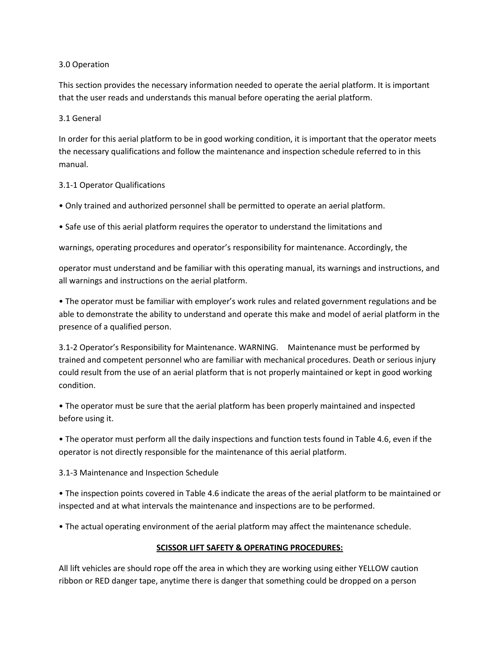# 3.0 Operation

This section provides the necessary information needed to operate the aerial platform. It is important that the user reads and understands this manual before operating the aerial platform.

### 3.1 General

In order for this aerial platform to be in good working condition, it is important that the operator meets the necessary qualifications and follow the maintenance and inspection schedule referred to in this manual.

# 3.1-1 Operator Qualifications

- Only trained and authorized personnel shall be permitted to operate an aerial platform.
- Safe use of this aerial platform requires the operator to understand the limitations and

warnings, operating procedures and operator's responsibility for maintenance. Accordingly, the

operator must understand and be familiar with this operating manual, its warnings and instructions, and all warnings and instructions on the aerial platform.

• The operator must be familiar with employer's work rules and related government regulations and be able to demonstrate the ability to understand and operate this make and model of aerial platform in the presence of a qualified person.

3.1-2 Operator's Responsibility for Maintenance. WARNING. Maintenance must be performed by trained and competent personnel who are familiar with mechanical procedures. Death or serious injury could result from the use of an aerial platform that is not properly maintained or kept in good working condition.

• The operator must be sure that the aerial platform has been properly maintained and inspected before using it.

• The operator must perform all the daily inspections and function tests found in Table 4.6, even if the operator is not directly responsible for the maintenance of this aerial platform.

3.1-3 Maintenance and Inspection Schedule

• The inspection points covered in Table 4.6 indicate the areas of the aerial platform to be maintained or inspected and at what intervals the maintenance and inspections are to be performed.

• The actual operating environment of the aerial platform may affect the maintenance schedule.

# **SCISSOR LIFT SAFETY & OPERATING PROCEDURES:**

All lift vehicles are should rope off the area in which they are working using either YELLOW caution ribbon or RED danger tape, anytime there is danger that something could be dropped on a person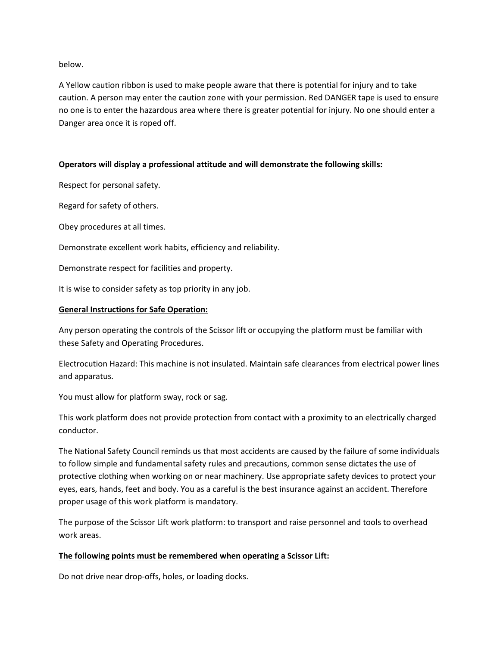below.

A Yellow caution ribbon is used to make people aware that there is potential for injury and to take caution. A person may enter the caution zone with your permission. Red DANGER tape is used to ensure no one is to enter the hazardous area where there is greater potential for injury. No one should enter a Danger area once it is roped off.

# **Operators will display a professional attitude and will demonstrate the following skills:**

Respect for personal safety.

Regard for safety of others.

Obey procedures at all times.

Demonstrate excellent work habits, efficiency and reliability.

Demonstrate respect for facilities and property.

It is wise to consider safety as top priority in any job.

### **General Instructions for Safe Operation:**

Any person operating the controls of the Scissor lift or occupying the platform must be familiar with these Safety and Operating Procedures.

Electrocution Hazard: This machine is not insulated. Maintain safe clearances from electrical power lines and apparatus.

You must allow for platform sway, rock or sag.

This work platform does not provide protection from contact with a proximity to an electrically charged conductor.

The National Safety Council reminds us that most accidents are caused by the failure of some individuals to follow simple and fundamental safety rules and precautions, common sense dictates the use of protective clothing when working on or near machinery. Use appropriate safety devices to protect your eyes, ears, hands, feet and body. You as a careful is the best insurance against an accident. Therefore proper usage of this work platform is mandatory.

The purpose of the Scissor Lift work platform: to transport and raise personnel and tools to overhead work areas.

#### **The following points must be remembered when operating a Scissor Lift:**

Do not drive near drop-offs, holes, or loading docks.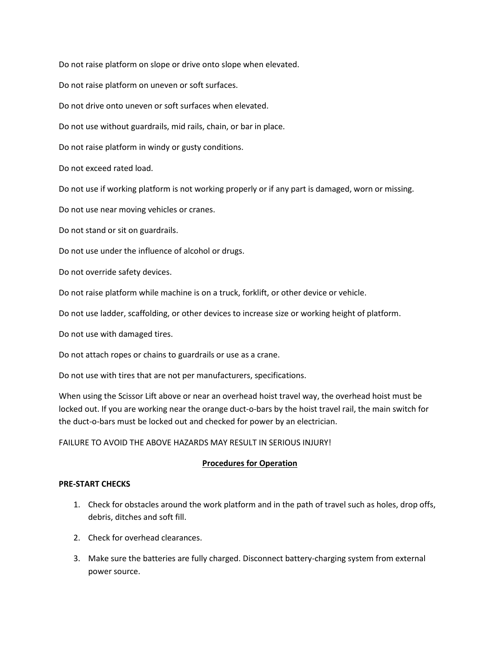Do not raise platform on slope or drive onto slope when elevated.

Do not raise platform on uneven or soft surfaces.

Do not drive onto uneven or soft surfaces when elevated.

Do not use without guardrails, mid rails, chain, or bar in place.

Do not raise platform in windy or gusty conditions.

Do not exceed rated load.

Do not use if working platform is not working properly or if any part is damaged, worn or missing.

Do not use near moving vehicles or cranes.

Do not stand or sit on guardrails.

Do not use under the influence of alcohol or drugs.

Do not override safety devices.

Do not raise platform while machine is on a truck, forklift, or other device or vehicle.

Do not use ladder, scaffolding, or other devices to increase size or working height of platform.

Do not use with damaged tires.

Do not attach ropes or chains to guardrails or use as a crane.

Do not use with tires that are not per manufacturers, specifications.

When using the Scissor Lift above or near an overhead hoist travel way, the overhead hoist must be locked out. If you are working near the orange duct-o-bars by the hoist travel rail, the main switch for the duct-o-bars must be locked out and checked for power by an electrician.

#### FAILURE TO AVOID THE ABOVE HAZARDS MAY RESULT IN SERIOUS INJURY!

# **Procedures for Operation**

### **PRE-START CHECKS**

- 1. Check for obstacles around the work platform and in the path of travel such as holes, drop offs, debris, ditches and soft fill.
- 2. Check for overhead clearances.
- 3. Make sure the batteries are fully charged. Disconnect battery-charging system from external power source.